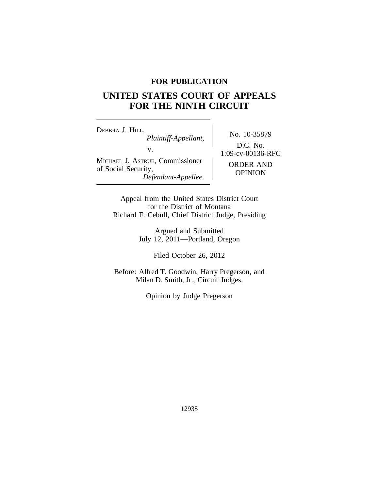# **FOR PUBLICATION**

# **UNITED STATES COURT OF APPEALS FOR THE NINTH CIRCUIT**

<sup>D</sup>EBBRA J. HILL, No. 10-35879 *Plaintiff-Appellant,* v.  $1:09-cv-00136-RFC$ MICHAEL J. ASTRUE, Commissioner of Social Security, *Defendant-Appellee.* OPINION

D.C. No.

Appeal from the United States District Court for the District of Montana Richard F. Cebull, Chief District Judge, Presiding

> Argued and Submitted July 12, 2011—Portland, Oregon

> > Filed October 26, 2012

Before: Alfred T. Goodwin, Harry Pregerson, and Milan D. Smith, Jr., Circuit Judges.

Opinion by Judge Pregerson

12935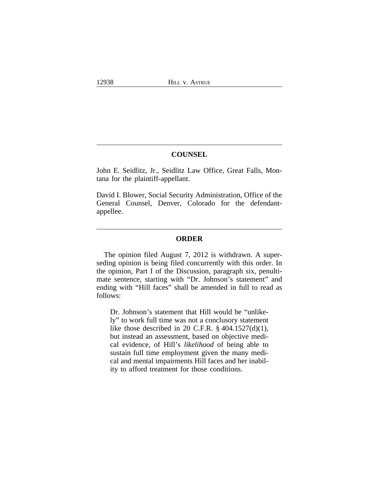# **COUNSEL**

John E. Seidlitz, Jr., Seidlitz Law Office, Great Falls, Montana for the plaintiff-appellant.

David I. Blower, Social Security Administration, Office of the General Counsel, Denver, Colorado for the defendantappellee.

## **ORDER**

The opinion filed August 7, 2012 is withdrawn. A superseding opinion is being filed concurrently with this order. In the opinion, Part I of the Discussion, paragraph six, penultimate sentence, starting with "Dr. Johnson's statement" and ending with "Hill faces" shall be amended in full to read as follows:

Dr. Johnson's statement that Hill would be "unlikely" to work full time was not a conclusory statement like those described in 20 C.F.R.  $\S$  404.1527(d)(1), but instead an assessment, based on objective medical evidence, of Hill's *likelihood* of being able to sustain full time employment given the many medical and mental impairments Hill faces and her inability to afford treatment for those conditions.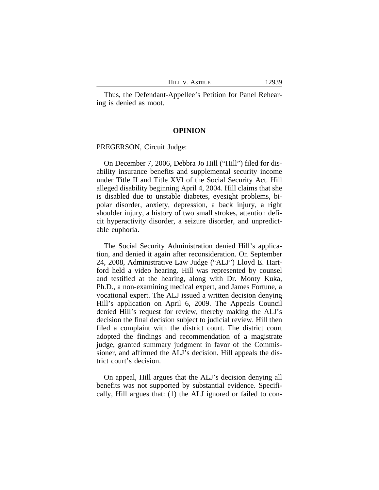Thus, the Defendant-Appellee's Petition for Panel Rehearing is denied as moot.

#### **OPINION**

PREGERSON, Circuit Judge:

On December 7, 2006, Debbra Jo Hill ("Hill") filed for disability insurance benefits and supplemental security income under Title II and Title XVI of the Social Security Act. Hill alleged disability beginning April 4, 2004. Hill claims that she is disabled due to unstable diabetes, eyesight problems, bipolar disorder, anxiety, depression, a back injury, a right shoulder injury, a history of two small strokes, attention deficit hyperactivity disorder, a seizure disorder, and unpredictable euphoria.

The Social Security Administration denied Hill's application, and denied it again after reconsideration. On September 24, 2008, Administrative Law Judge ("ALJ") Lloyd E. Hartford held a video hearing. Hill was represented by counsel and testified at the hearing, along with Dr. Monty Kuka, Ph.D., a non-examining medical expert, and James Fortune, a vocational expert. The ALJ issued a written decision denying Hill's application on April 6, 2009. The Appeals Council denied Hill's request for review, thereby making the ALJ's decision the final decision subject to judicial review. Hill then filed a complaint with the district court. The district court adopted the findings and recommendation of a magistrate judge, granted summary judgment in favor of the Commissioner, and affirmed the ALJ's decision. Hill appeals the district court's decision.

On appeal, Hill argues that the ALJ's decision denying all benefits was not supported by substantial evidence. Specifically, Hill argues that: (1) the ALJ ignored or failed to con-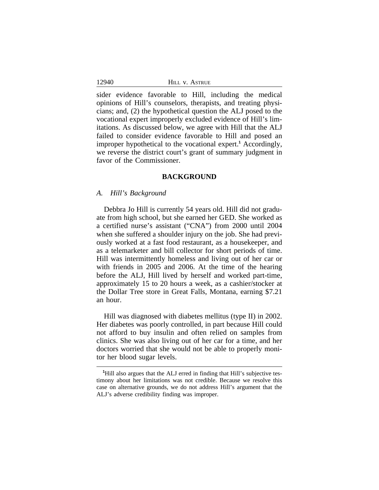sider evidence favorable to Hill, including the medical opinions of Hill's counselors, therapists, and treating physicians; and, (2) the hypothetical question the ALJ posed to the vocational expert improperly excluded evidence of Hill's limitations. As discussed below, we agree with Hill that the ALJ failed to consider evidence favorable to Hill and posed an improper hypothetical to the vocational expert.**<sup>1</sup>** Accordingly, we reverse the district court's grant of summary judgment in favor of the Commissioner.

## **BACKGROUND**

#### *A. Hill's Background*

Debbra Jo Hill is currently 54 years old. Hill did not graduate from high school, but she earned her GED. She worked as a certified nurse's assistant ("CNA") from 2000 until 2004 when she suffered a shoulder injury on the job. She had previously worked at a fast food restaurant, as a housekeeper, and as a telemarketer and bill collector for short periods of time. Hill was intermittently homeless and living out of her car or with friends in 2005 and 2006. At the time of the hearing before the ALJ, Hill lived by herself and worked part-time, approximately 15 to 20 hours a week, as a cashier/stocker at the Dollar Tree store in Great Falls, Montana, earning \$7.21 an hour.

Hill was diagnosed with diabetes mellitus (type II) in 2002. Her diabetes was poorly controlled, in part because Hill could not afford to buy insulin and often relied on samples from clinics. She was also living out of her car for a time, and her doctors worried that she would not be able to properly monitor her blood sugar levels.

<sup>&</sup>lt;sup>1</sup>Hill also argues that the ALJ erred in finding that Hill's subjective testimony about her limitations was not credible. Because we resolve this case on alternative grounds, we do not address Hill's argument that the ALJ's adverse credibility finding was improper.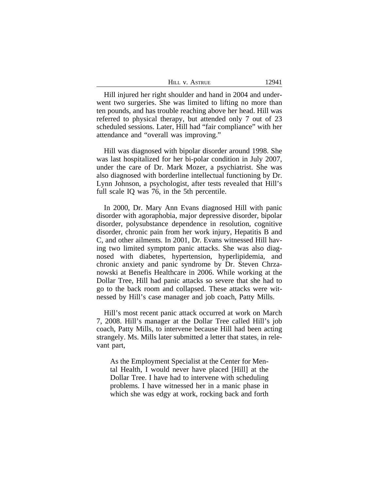| <b>ASTRUE</b><br>$\mathbf{V}$ | 2011<br>__ |
|-------------------------------|------------|
|-------------------------------|------------|

Hill injured her right shoulder and hand in 2004 and underwent two surgeries. She was limited to lifting no more than ten pounds, and has trouble reaching above her head. Hill was referred to physical therapy, but attended only 7 out of 23 scheduled sessions. Later, Hill had "fair compliance" with her attendance and "overall was improving."

Hill was diagnosed with bipolar disorder around 1998. She was last hospitalized for her bi-polar condition in July 2007, under the care of Dr. Mark Mozer, a psychiatrist. She was also diagnosed with borderline intellectual functioning by Dr. Lynn Johnson, a psychologist, after tests revealed that Hill's full scale IQ was 76, in the 5th percentile.

In 2000, Dr. Mary Ann Evans diagnosed Hill with panic disorder with agoraphobia, major depressive disorder, bipolar disorder, polysubstance dependence in resolution, cognitive disorder, chronic pain from her work injury, Hepatitis B and C, and other ailments. In 2001, Dr. Evans witnessed Hill having two limited symptom panic attacks. She was also diagnosed with diabetes, hypertension, hyperlipidemia, and chronic anxiety and panic syndrome by Dr. Steven Chrzanowski at Benefis Healthcare in 2006. While working at the Dollar Tree, Hill had panic attacks so severe that she had to go to the back room and collapsed. These attacks were witnessed by Hill's case manager and job coach, Patty Mills.

Hill's most recent panic attack occurred at work on March 7, 2008. Hill's manager at the Dollar Tree called Hill's job coach, Patty Mills, to intervene because Hill had been acting strangely. Ms. Mills later submitted a letter that states, in relevant part,

As the Employment Specialist at the Center for Mental Health, I would never have placed [Hill] at the Dollar Tree. I have had to intervene with scheduling problems. I have witnessed her in a manic phase in which she was edgy at work, rocking back and forth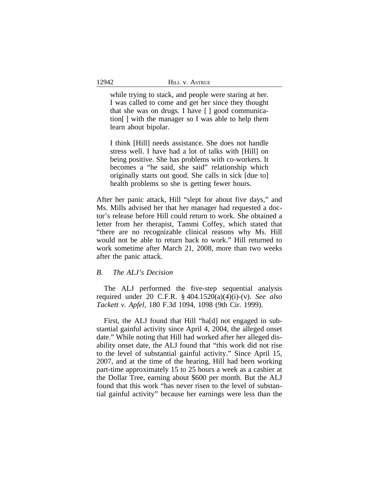while trying to stack, and people were staring at her. I was called to come and get her since they thought that she was on drugs. I have [ ] good communication[ ] with the manager so I was able to help them learn about bipolar.

I think [Hill] needs assistance. She does not handle stress well. I have had a lot of talks with [Hill] on being positive. She has problems with co-workers. It becomes a "he said, she said" relationship which originally starts out good. She calls in sick [due to] health problems so she is getting fewer hours.

After her panic attack, Hill "slept for about five days," and Ms. Mills advised her that her manager had requested a doctor's release before Hill could return to work. She obtained a letter from her therapist, Tammi Coffey, which stated that "there are no recognizable clinical reasons why Ms. Hill would not be able to return back to work." Hill returned to work sometime after March 21, 2008, more than two weeks after the panic attack.

## *B. The ALJ's Decision*

The ALJ performed the five-step sequential analysis required under 20 C.F.R. § 404.1520(a)(4)(i)-(v). *See also Tackett v. Apfel*, 180 F.3d 1094, 1098 (9th Cir. 1999).

First, the ALJ found that Hill "ha[d] not engaged in substantial gainful activity since April 4, 2004, the alleged onset date." While noting that Hill had worked after her alleged disability onset date, the ALJ found that "this work did not rise to the level of substantial gainful activity." Since April 15, 2007, and at the time of the hearing, Hill had been working part-time approximately 15 to 25 hours a week as a cashier at the Dollar Tree, earning about \$600 per month. But the ALJ found that this work "has never risen to the level of substantial gainful activity" because her earnings were less than the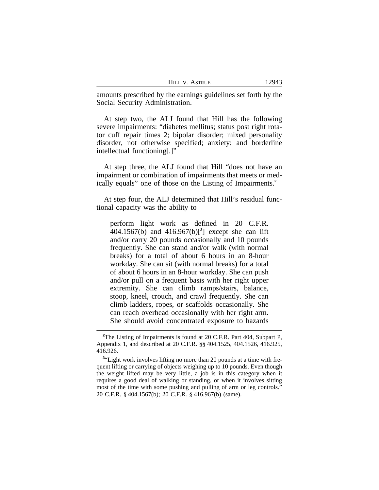amounts prescribed by the earnings guidelines set forth by the Social Security Administration.

At step two, the ALJ found that Hill has the following severe impairments: "diabetes mellitus; status post right rotator cuff repair times 2; bipolar disorder; mixed personality disorder, not otherwise specified; anxiety; and borderline intellectual functioning[.]"

At step three, the ALJ found that Hill "does not have an impairment or combination of impairments that meets or medically equals" one of those on the Listing of Impairments.**<sup>2</sup>**

At step four, the ALJ determined that Hill's residual functional capacity was the ability to

perform light work as defined in 20 C.F.R. 404.1567(b) and 416.967(b)[**<sup>3</sup>** ] except she can lift and/or carry 20 pounds occasionally and 10 pounds frequently. She can stand and/or walk (with normal breaks) for a total of about 6 hours in an 8-hour workday. She can sit (with normal breaks) for a total of about 6 hours in an 8-hour workday. She can push and/or pull on a frequent basis with her right upper extremity. She can climb ramps/stairs, balance, stoop, kneel, crouch, and crawl frequently. She can climb ladders, ropes, or scaffolds occasionally. She can reach overhead occasionally with her right arm. She should avoid concentrated exposure to hazards

<sup>&</sup>lt;sup>2</sup>The Listing of Impairments is found at 20 C.F.R. Part 404, Subpart P, Appendix 1, and described at 20 C.F.R. §§ 404.1525, 404.1526, 416.925, 416.926.

<sup>&</sup>lt;sup>3</sup>"Light work involves lifting no more than 20 pounds at a time with frequent lifting or carrying of objects weighing up to 10 pounds. Even though the weight lifted may be very little, a job is in this category when it requires a good deal of walking or standing, or when it involves sitting most of the time with some pushing and pulling of arm or leg controls." 20 C.F.R. § 404.1567(b); 20 C.F.R. § 416.967(b) (same).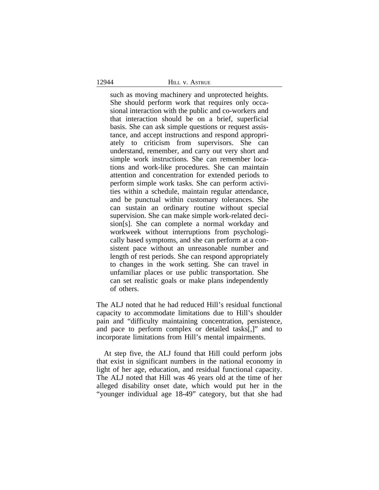## 12944 HILL V. ASTRUE

such as moving machinery and unprotected heights. She should perform work that requires only occasional interaction with the public and co-workers and that interaction should be on a brief, superficial basis. She can ask simple questions or request assistance, and accept instructions and respond appropriately to criticism from supervisors. She can understand, remember, and carry out very short and simple work instructions. She can remember locations and work-like procedures. She can maintain attention and concentration for extended periods to perform simple work tasks. She can perform activities within a schedule, maintain regular attendance, and be punctual within customary tolerances. She can sustain an ordinary routine without special supervision. She can make simple work-related decision[s]. She can complete a normal workday and workweek without interruptions from psychologically based symptoms, and she can perform at a consistent pace without an unreasonable number and length of rest periods. She can respond appropriately to changes in the work setting. She can travel in unfamiliar places or use public transportation. She can set realistic goals or make plans independently of others.

The ALJ noted that he had reduced Hill's residual functional capacity to accommodate limitations due to Hill's shoulder pain and "difficulty maintaining concentration, persistence, and pace to perform complex or detailed tasks[,]" and to incorporate limitations from Hill's mental impairments.

At step five, the ALJ found that Hill could perform jobs that exist in significant numbers in the national economy in light of her age, education, and residual functional capacity. The ALJ noted that Hill was 46 years old at the time of her alleged disability onset date, which would put her in the "younger individual age 18-49" category, but that she had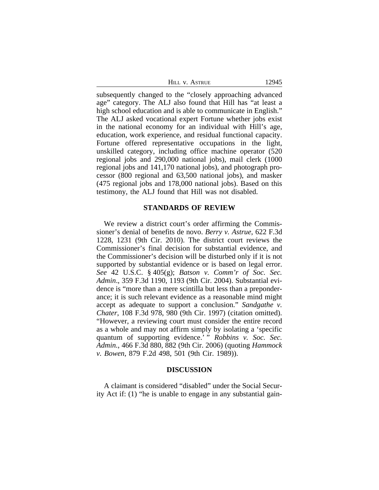| HILL V. ASTRUE | 12945 |
|----------------|-------|
|----------------|-------|

subsequently changed to the "closely approaching advanced age" category. The ALJ also found that Hill has "at least a high school education and is able to communicate in English." The ALJ asked vocational expert Fortune whether jobs exist in the national economy for an individual with Hill's age, education, work experience, and residual functional capacity. Fortune offered representative occupations in the light, unskilled category, including office machine operator (520 regional jobs and 290,000 national jobs), mail clerk (1000 regional jobs and 141,170 national jobs), and photograph processor (800 regional and 63,500 national jobs), and masker (475 regional jobs and 178,000 national jobs). Based on this testimony, the ALJ found that Hill was not disabled.

#### **STANDARDS OF REVIEW**

We review a district court's order affirming the Commissioner's denial of benefits de novo. *Berry v. Astrue*, 622 F.3d 1228, 1231 (9th Cir. 2010). The district court reviews the Commissioner's final decision for substantial evidence, and the Commissioner's decision will be disturbed only if it is not supported by substantial evidence or is based on legal error. *See* 42 U.S.C. § 405(g); *Batson v. Comm'r of Soc. Sec. Admin*., 359 F.3d 1190, 1193 (9th Cir. 2004). Substantial evidence is "more than a mere scintilla but less than a preponderance; it is such relevant evidence as a reasonable mind might accept as adequate to support a conclusion." *Sandgathe v. Chater*, 108 F.3d 978, 980 (9th Cir. 1997) (citation omitted). "However, a reviewing court must consider the entire record as a whole and may not affirm simply by isolating a 'specific quantum of supporting evidence.' " *Robbins v. Soc. Sec. Admin.*, 466 F.3d 880, 882 (9th Cir. 2006) (quoting *Hammock v. Bowen*, 879 F.2d 498, 501 (9th Cir. 1989)).

#### **DISCUSSION**

A claimant is considered "disabled" under the Social Security Act if: (1) "he is unable to engage in any substantial gain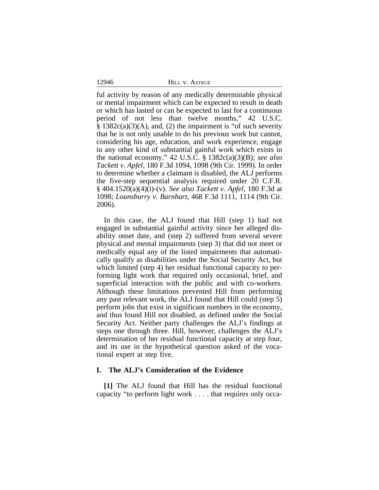12946 HILL v. ASTRUE

ful activity by reason of any medically determinable physical or mental impairment which can be expected to result in death or which has lasted or can be expected to last for a continuous period of not less than twelve months," 42 U.S.C.  $§ 1382c(a)(3)(A)$ , and, (2) the impairment is "of such severity that he is not only unable to do his previous work but cannot, considering his age, education, and work experience, engage in any other kind of substantial gainful work which exists in the national economy." 42 U.S.C. § 1382c(a)(3)(B); *see also Tackett v. Apfel*, 180 F.3d 1094, 1098 (9th Cir. 1999). In order to determine whether a claimant is disabled, the ALJ performs the five-step sequential analysis required under 20 C.F.R. § 404.1520(a)(4)(i)-(v). *See also Tackett v. Apfel*, 180 F.3d at 1098; *Lounsburry v. Barnhart*, 468 F.3d 1111, 1114 (9th Cir. 2006).

In this case, the ALJ found that Hill (step 1) had not engaged in substantial gainful activity since her alleged disability onset date, and (step 2) suffered from several severe physical and mental impairments (step 3) that did not meet or medically equal any of the listed impairments that automatically qualify as disabilities under the Social Security Act, but which limited (step 4) her residual functional capacity to performing light work that required only occasional, brief, and superficial interaction with the public and with co-workers. Although these limitations prevented Hill from performing any past relevant work, the ALJ found that Hill could (step 5) perform jobs that exist in significant numbers in the economy, and thus found Hill not disabled, as defined under the Social Security Act. Neither party challenges the ALJ's findings at steps one through three. Hill, however, challenges the ALJ's determination of her residual functional capacity at step four, and its use in the hypothetical question asked of the vocational expert at step five.

## **I. The ALJ's Consideration of the Evidence**

**[1]** The ALJ found that Hill has the residual functional capacity "to perform light work . . . . that requires only occa-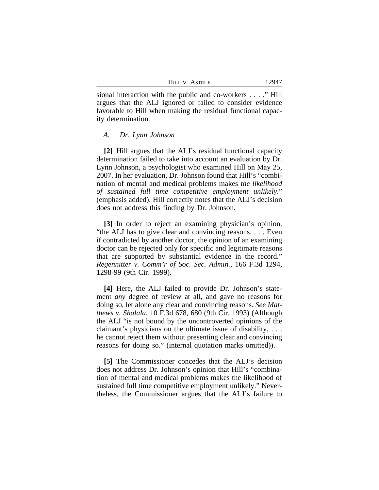| HILL V. ASTRUE | 12947 |
|----------------|-------|
|----------------|-------|

sional interaction with the public and co-workers . . . ." Hill argues that the ALJ ignored or failed to consider evidence favorable to Hill when making the residual functional capacity determination.

#### *A. Dr. Lynn Johnson*

**[2]** Hill argues that the ALJ's residual functional capacity determination failed to take into account an evaluation by Dr. Lynn Johnson, a psychologist who examined Hill on May 25, 2007. In her evaluation, Dr. Johnson found that Hill's "combination of mental and medical problems makes *the likelihood of sustained full time competitive employment unlikely*." (emphasis added). Hill correctly notes that the ALJ's decision does not address this finding by Dr. Johnson.

**[3]** In order to reject an examining physician's opinion, "the ALJ has to give clear and convincing reasons. . . . Even if contradicted by another doctor, the opinion of an examining doctor can be rejected only for specific and legitimate reasons that are supported by substantial evidence in the record." *Regennitter v. Comm'r of Soc. Sec. Admin.*, 166 F.3d 1294, 1298-99 (9th Cir. 1999).

**[4]** Here, the ALJ failed to provide Dr. Johnson's statement *any* degree of review at all, and gave no reasons for doing so, let alone any clear and convincing reasons. *See Matthews v. Shalala*, 10 F.3d 678, 680 (9th Cir. 1993) (Although the ALJ "is not bound by the uncontroverted opinions of the claimant's physicians on the ultimate issue of disability, . . . he cannot reject them without presenting clear and convincing reasons for doing so." (internal quotation marks omitted)).

**[5]** The Commissioner concedes that the ALJ's decision does not address Dr. Johnson's opinion that Hill's "combination of mental and medical problems makes the likelihood of sustained full time competitive employment unlikely." Nevertheless, the Commissioner argues that the ALJ's failure to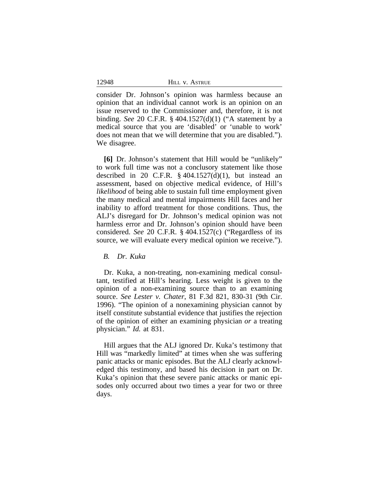12948 HILL V. ASTRUE

consider Dr. Johnson's opinion was harmless because an opinion that an individual cannot work is an opinion on an issue reserved to the Commissioner and, therefore, it is not binding. *See* 20 C.F.R. § 404.1527(d)(1) ("A statement by a medical source that you are 'disabled' or 'unable to work' does not mean that we will determine that you are disabled."). We disagree.

**[6]** Dr. Johnson's statement that Hill would be "unlikely" to work full time was not a conclusory statement like those described in 20 C.F.R.  $\S$  404.1527(d)(1), but instead an assessment, based on objective medical evidence, of Hill's *likelihood* of being able to sustain full time employment given the many medical and mental impairments Hill faces and her inability to afford treatment for those conditions. Thus, the ALJ's disregard for Dr. Johnson's medical opinion was not harmless error and Dr. Johnson's opinion should have been considered. *See* 20 C.F.R. § 404.1527(c) ("Regardless of its source, we will evaluate every medical opinion we receive.").

*B. Dr. Kuka*

Dr. Kuka, a non-treating, non-examining medical consultant, testified at Hill's hearing. Less weight is given to the opinion of a non-examining source than to an examining source. *See Lester v. Chater*, 81 F.3d 821, 830-31 (9th Cir. 1996). "The opinion of a nonexamining physician cannot by itself constitute substantial evidence that justifies the rejection of the opinion of either an examining physician *or* a treating physician." *Id.* at 831.

Hill argues that the ALJ ignored Dr. Kuka's testimony that Hill was "markedly limited" at times when she was suffering panic attacks or manic episodes. But the ALJ clearly acknowledged this testimony, and based his decision in part on Dr. Kuka's opinion that these severe panic attacks or manic episodes only occurred about two times a year for two or three days.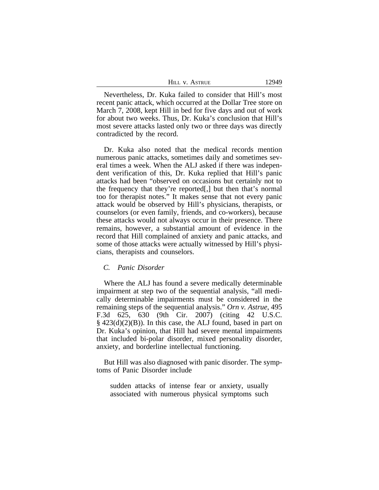Nevertheless, Dr. Kuka failed to consider that Hill's most recent panic attack, which occurred at the Dollar Tree store on March 7, 2008, kept Hill in bed for five days and out of work for about two weeks. Thus, Dr. Kuka's conclusion that Hill's most severe attacks lasted only two or three days was directly contradicted by the record.

Dr. Kuka also noted that the medical records mention numerous panic attacks, sometimes daily and sometimes several times a week. When the ALJ asked if there was independent verification of this, Dr. Kuka replied that Hill's panic attacks had been "observed on occasions but certainly not to the frequency that they're reported[,] but then that's normal too for therapist notes." It makes sense that not every panic attack would be observed by Hill's physicians, therapists, or counselors (or even family, friends, and co-workers), because these attacks would not always occur in their presence. There remains, however, a substantial amount of evidence in the record that Hill complained of anxiety and panic attacks, and some of those attacks were actually witnessed by Hill's physicians, therapists and counselors.

## *C. Panic Disorder*

Where the ALJ has found a severe medically determinable impairment at step two of the sequential analysis, "all medically determinable impairments must be considered in the remaining steps of the sequential analysis." *Orn v. Astrue*, 495 F.3d 625, 630 (9th Cir. 2007) (citing 42 U.S.C. § 423(d)(2)(B)). In this case, the ALJ found, based in part on Dr. Kuka's opinion, that Hill had severe mental impairments that included bi-polar disorder, mixed personality disorder, anxiety, and borderline intellectual functioning.

But Hill was also diagnosed with panic disorder. The symptoms of Panic Disorder include

sudden attacks of intense fear or anxiety, usually associated with numerous physical symptoms such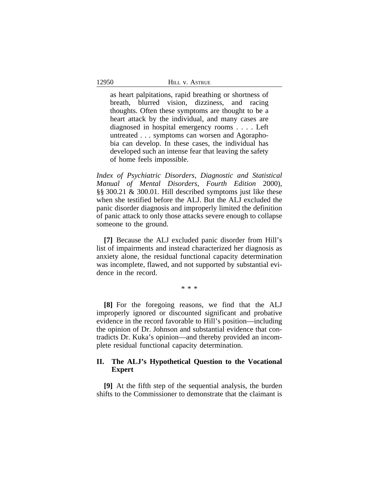as heart palpitations, rapid breathing or shortness of breath, blurred vision, dizziness, and racing thoughts. Often these symptoms are thought to be a heart attack by the individual, and many cases are diagnosed in hospital emergency rooms . . . . Left untreated . . . symptoms can worsen and Agoraphobia can develop. In these cases, the individual has developed such an intense fear that leaving the safety of home feels impossible.

*Index of Psychiatric Disorders*, *Diagnostic and Statistical Manual of Mental Disorders*, *Fourth Edition* 2000), §§ 300.21 & 300.01. Hill described symptoms just like these when she testified before the ALJ. But the ALJ excluded the panic disorder diagnosis and improperly limited the definition of panic attack to only those attacks severe enough to collapse someone to the ground.

**[7]** Because the ALJ excluded panic disorder from Hill's list of impairments and instead characterized her diagnosis as anxiety alone, the residual functional capacity determination was incomplete, flawed, and not supported by substantial evidence in the record.

\* \* \*

**[8]** For the foregoing reasons, we find that the ALJ improperly ignored or discounted significant and probative evidence in the record favorable to Hill's position—including the opinion of Dr. Johnson and substantial evidence that contradicts Dr. Kuka's opinion—and thereby provided an incomplete residual functional capacity determination.

# **II. The ALJ's Hypothetical Question to the Vocational Expert**

**[9]** At the fifth step of the sequential analysis, the burden shifts to the Commissioner to demonstrate that the claimant is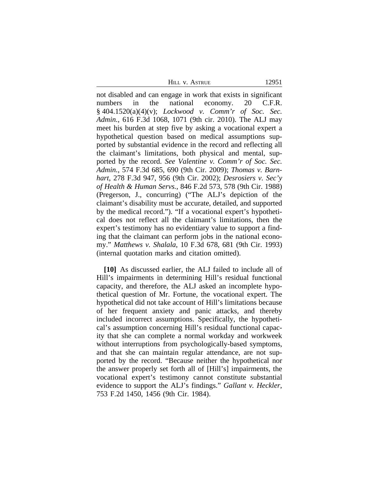HILL V. ASTRUE 12951

not disabled and can engage in work that exists in significant numbers in the national economy. 20 C.F.R. § 404.1520(a)(4)(v); *Lockwood v. Comm'r of Soc. Sec. Admin.*, 616 F.3d 1068, 1071 (9th cir. 2010). The ALJ may meet his burden at step five by asking a vocational expert a hypothetical question based on medical assumptions supported by substantial evidence in the record and reflecting all the claimant's limitations, both physical and mental, supported by the record. *See Valentine v. Comm'r of Soc. Sec. Admin.*, 574 F.3d 685, 690 (9th Cir. 2009); *Thomas v. Barnhart*, 278 F.3d 947, 956 (9th Cir. 2002); *Desrosiers v. Sec'y of Health & Human Servs.*, 846 F.2d 573, 578 (9th Cir. 1988) (Pregerson, J., concurring) ("The ALJ's depiction of the claimant's disability must be accurate, detailed, and supported by the medical record."). "If a vocational expert's hypothetical does not reflect all the claimant's limitations, then the expert's testimony has no evidentiary value to support a finding that the claimant can perform jobs in the national economy." *Matthews v. Shalala*, 10 F.3d 678, 681 (9th Cir. 1993) (internal quotation marks and citation omitted).

**[10]** As discussed earlier, the ALJ failed to include all of Hill's impairments in determining Hill's residual functional capacity, and therefore, the ALJ asked an incomplete hypothetical question of Mr. Fortune, the vocational expert. The hypothetical did not take account of Hill's limitations because of her frequent anxiety and panic attacks, and thereby included incorrect assumptions. Specifically, the hypothetical's assumption concerning Hill's residual functional capacity that she can complete a normal workday and workweek without interruptions from psychologically-based symptoms, and that she can maintain regular attendance, are not supported by the record. "Because neither the hypothetical nor the answer properly set forth all of [Hill's] impairments, the vocational expert's testimony cannot constitute substantial evidence to support the ALJ's findings." *Gallant v. Heckler*, 753 F.2d 1450, 1456 (9th Cir. 1984).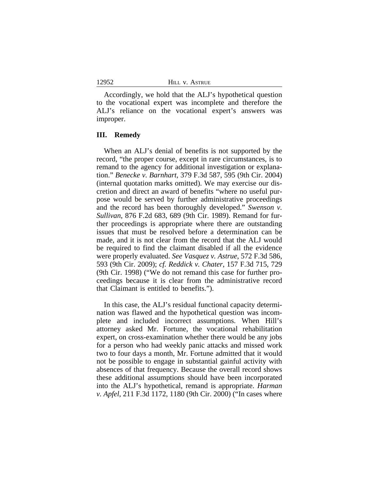Accordingly, we hold that the ALJ's hypothetical question to the vocational expert was incomplete and therefore the ALJ's reliance on the vocational expert's answers was improper.

#### **III. Remedy**

When an ALJ's denial of benefits is not supported by the record, "the proper course, except in rare circumstances, is to remand to the agency for additional investigation or explanation." *Benecke v. Barnhart*, 379 F.3d 587, 595 (9th Cir. 2004) (internal quotation marks omitted). We may exercise our discretion and direct an award of benefits "where no useful purpose would be served by further administrative proceedings and the record has been thoroughly developed." *Swenson v. Sullivan*, 876 F.2d 683, 689 (9th Cir. 1989). Remand for further proceedings is appropriate where there are outstanding issues that must be resolved before a determination can be made, and it is not clear from the record that the ALJ would be required to find the claimant disabled if all the evidence were properly evaluated. *See Vasquez v. Astrue*, 572 F.3d 586, 593 (9th Cir. 2009); *cf. Reddick v. Chater*, 157 F.3d 715, 729 (9th Cir. 1998) ("We do not remand this case for further proceedings because it is clear from the administrative record that Claimant is entitled to benefits.").

In this case, the ALJ's residual functional capacity determination was flawed and the hypothetical question was incomplete and included incorrect assumptions. When Hill's attorney asked Mr. Fortune, the vocational rehabilitation expert, on cross-examination whether there would be any jobs for a person who had weekly panic attacks and missed work two to four days a month, Mr. Fortune admitted that it would not be possible to engage in substantial gainful activity with absences of that frequency. Because the overall record shows these additional assumptions should have been incorporated into the ALJ's hypothetical, remand is appropriate. *Harman v. Apfel*, 211 F.3d 1172, 1180 (9th Cir. 2000) ("In cases where